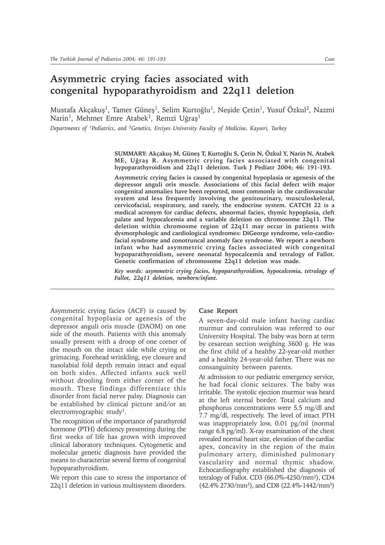## **Asymmetric crying facies associated with congenital hypoparathyroidism and 22q11 deletion**

Mustafa Akçakuş<sup>1</sup>, Tamer Güneş<sup>1</sup>, Selim Kurtoğlu<sup>1</sup>, Neşide Çetin<sup>1</sup>, Yusuf Özkul<sup>2</sup>, Nazmi Narin<sup>1</sup>, Mehmet Emre Atabek<sup>1</sup>, Remzi Uğraş<sup>1</sup>

*Departments of 1Pediatrics, and 2Genetics, Erciyes University Faculty of Medicine, Kayseri, Turkey*

**SUMMARY: Akçakuþ M, Güneþ T, Kurtoðlu S, Çetin N, Özkul Y, Narin N, Atabek ME, Uðraþ R. Asymmetric crying facies associated with congenital hypoparathyroidism and 22q11 deletion. Turk J Pediatr 2004; 46: 191-193.**

**Asymmetric crying facies is caused by congenital hypoplasia or agenesis of the depressor anguli oris muscle. Associations of this facial defect with major congenital anomalies have been reported, most commonly in the cardiovascular system and less frequently involving the genitourinary, musculoskeletal, cervicofacial, respiratory, and rarely, the endocrine system. CATCH 22 is a medical acronym for cardiac defects, abnormal facies, thymic hypoplasia, cleft palate and hypocalcemia and a variable deletion on chromosome 22q11. The deletion within chromosme region of 22q11 may occur in patients with dysmorphologic and cardiological syndromes: DiGeorge syndrome, velo-cardiofacial syndrome and conotruncal anomaly face syndrome. We report a newborn infant who had asymmetric crying facies associated with congenital hypoparathyroidism, severe neonatal hypocalcemia and tetralogy of Fallot. Genetic confirmation of chromosome 22q11 deletion was made.**

*Key words: asymmetric crying facies, hypoparathyroidism, hypocalcemia, tetralogy of Fallot, 22q11 deletion, newborn/infant.*

Asymmetric crying facies (ACF) is caused by congenital hypoplasia or agenesis of the depressor anguli oris muscle (DAOM) on one side of the mouth. Patients with this anomaly usually present with a droop of one corner of the mouth on the intact side while crying or grimacing. Forehead wrinkling, eye closure and nasolabial fold depth remain intact and equal on both sides. Affected infants suck well without drooling from either corner of the mouth. These findings differentiate this disorder from facial nerve palsy. Diagnosis can be established by clinical picture and/or an electromyographic study1.

The recognition of the importance of parathyroid hormone (PTH) deficiency presenting during the first weeks of life has grown with improved clinical laboratory techniques. Cytogenetic and molecular genetic diagnosis have provided the means to characterize several forms of congenital hypoparathyroidism.

We report this case to stress the importance of 22q11 deletion in various multisystem disorders.

## **Case Report**

A seven-day-old male infant having cardiac murmur and convulsion was referred to our University Hospital. The baby was born at term by cesarean section weighing 3600 g. He was the first child of a healthy 22-year-old mother and a healthy 24-year-old father. There was no consanguinity between parents.

At admission to our pediatric emergency service, he had focal clonic seizures. The baby was irritable. The systolic ejection murmur was heard at the left sternal border. Total calcium and phosphorus concentrations were 5.5 mg/dl and 7.7 mg/dl, respectively. The level of intact PTH was inappropriately low, 0.01 pg/ml (normal range 6.8 pg/ml). X-ray examination of the chest revealed normal heart size, elevation of the cardiac apex, concavity in the region of the main pulmonary artery, diminished pulmonary vascularity and normal thymic shadow. Echocardiography established the diagnosis of tetralogy of Fallot. CD3 (66.0%-4250/mm3), CD4 (42.4% 2730/mm3), and CD8 (22.4%-1442/mm3)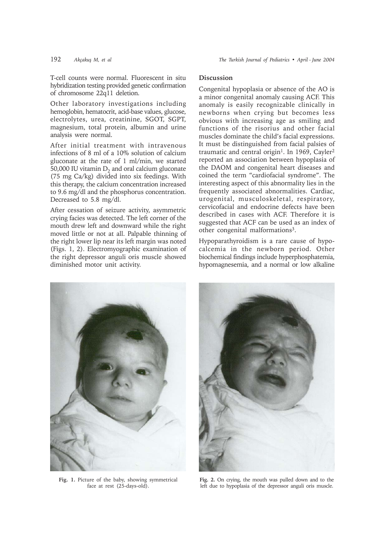T-cell counts were normal. Fluorescent in situ hybridization testing provided genetic confirmation of chromosome 22q11 deletion.

Other laboratory investigations including hemoglobin, hematocrit, acid-base values, glucose, electrolytes, urea, creatinine, SGOT, SGPT, magnesium, total protein, albumin and urine analysis were normal.

After initial treatment with intravenous infections of 8 ml of a 10% solution of calcium gluconate at the rate of 1 ml/min, we started 50,000 IU vitamin  $D_2$  and oral calcium gluconate (75 mg Ca/kg) divided into six feedings. With this therapy, the calcium concentration increased to 9.6 mg/dl and the phosphorus concentration. Decreased to 5.8 mg/dl.

After cessation of seizure activity, asymmetric crying facies was detected. The left corner of the mouth drew left and downward while the right moved little or not at all. Palpable thinning of the right lower lip near its left margin was noted (Figs. 1, 2). Electromyographic examination of the right depressor anguli oris muscle showed diminished motor unit activity.

## **Discussion**

Congenital hypoplasia or absence of the AO is a minor congenital anomaly causing ACF. This anomaly is easily recognizable clinically in newborns when crying but becomes less obvious with increasing age as smiling and functions of the risorius and other facial muscles dominate the child's facial expressions. It must be distinguished from facial palsies of traumatic and central origin<sup>1</sup>. In 1969, Cayler<sup>2</sup> reported an association between hypoplasia of the DAOM and congenital heart diseases and coined the term "cardiofacial syndrome". The interesting aspect of this abnormality lies in the frequently associated abnormalities. Cardiac, urogenital, musculoskeletal, respiratory, cervicofacial and endocrine defects have been described in cases with ACF. Therefore it is suggested that ACF can be used as an index of other congenital malformations3.

Hypoparathyroidism is a rare cause of hypocalcemia in the newborn period. Other biochemical findings include hyperphosphatemia, hypomagnesemia, and a normal or low alkaline



**Fig. 1.** Picture of the baby, showing symmetrical face at rest (25-days-old).



**Fig. 2.** On crying, the mouth was pulled down and to the left due to hypoplasia of the depressor anguli oris muscle.